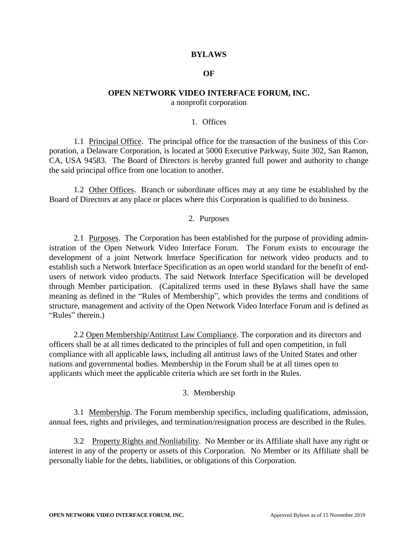### **BYLAWS**

#### **OF**

#### **OPEN NETWORK VIDEO INTERFACE FORUM, INC.**

a nonprofit corporation

### 1. Offices

1.1 Principal Office. The principal office for the transaction of the business of this Corporation, a Delaware Corporation, is located at 5000 Executive Parkway, Suite 302, San Ramon, CA, USA 94583. The Board of Directors is hereby granted full power and authority to change the said principal office from one location to another.

1.2 Other Offices. Branch or subordinate offices may at any time be established by the Board of Directors at any place or places where this Corporation is qualified to do business.

### 2. Purposes

2.1 Purposes. The Corporation has been established for the purpose of providing administration of the Open Network Video Interface Forum. The Forum exists to encourage the development of a joint Network Interface Specification for network video products and to establish such a Network Interface Specification as an open world standard for the benefit of endusers of network video products. The said Network Interface Specification will be developed through Member participation. (Capitalized terms used in these Bylaws shall have the same meaning as defined in the "Rules of Membership", which provides the terms and conditions of structure, management and activity of the Open Network Video Interface Forum and is defined as "Rules" therein.)

2.2 Open Membership/Antitrust Law Compliance. The corporation and its directors and officers shall be at all times dedicated to the principles of full and open competition, in full compliance with all applicable laws, including all antitrust laws of the United States and other nations and governmental bodies. Membership in the Forum shall be at all times open to applicants which meet the applicable criteria which are set forth in the Rules.

### 3. Membership

3.1 Membership. The Forum membership specifics, including qualifications, admission, annual fees, rights and privileges, and termination/resignation process are described in the Rules.

3.2 Property Rights and Nonliability. No Member or its Affiliate shall have any right or interest in any of the property or assets of this Corporation. No Member or its Affiliate shall be personally liable for the debts, liabilities, or obligations of this Corporation.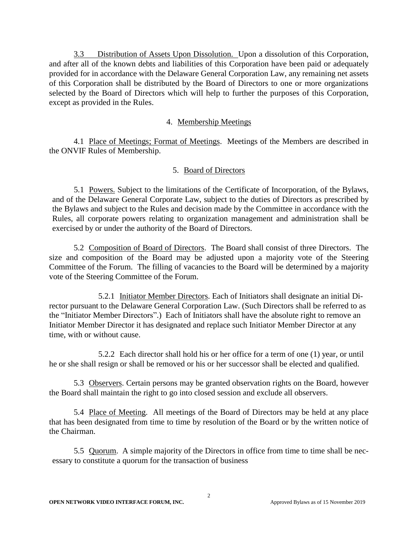3.3 Distribution of Assets Upon Dissolution. Upon a dissolution of this Corporation, and after all of the known debts and liabilities of this Corporation have been paid or adequately provided for in accordance with the Delaware General Corporation Law, any remaining net assets of this Corporation shall be distributed by the Board of Directors to one or more organizations selected by the Board of Directors which will help to further the purposes of this Corporation, except as provided in the Rules.

## 4. Membership Meetings

4.1 Place of Meetings; Format of Meetings. Meetings of the Members are described in the ONVIF Rules of Membership.

## 5. Board of Directors

5.1 Powers. Subject to the limitations of the Certificate of Incorporation, of the Bylaws, and of the Delaware General Corporate Law, subject to the duties of Directors as prescribed by the Bylaws and subject to the Rules and decision made by the Committee in accordance with the Rules, all corporate powers relating to organization management and administration shall be exercised by or under the authority of the Board of Directors.

5.2 Composition of Board of Directors. The Board shall consist of three Directors. The size and composition of the Board may be adjusted upon a majority vote of the Steering Committee of the Forum. The filling of vacancies to the Board will be determined by a majority vote of the Steering Committee of the Forum.

5.2.1 Initiator Member Directors. Each of Initiators shall designate an initial Director pursuant to the Delaware General Corporation Law. (Such Directors shall be referred to as the "Initiator Member Directors".) Each of Initiators shall have the absolute right to remove an Initiator Member Director it has designated and replace such Initiator Member Director at any time, with or without cause.

5.2.2 Each director shall hold his or her office for a term of one (1) year, or until he or she shall resign or shall be removed or his or her successor shall be elected and qualified.

5.3 Observers. Certain persons may be granted observation rights on the Board, however the Board shall maintain the right to go into closed session and exclude all observers.

5.4 Place of Meeting. All meetings of the Board of Directors may be held at any place that has been designated from time to time by resolution of the Board or by the written notice of the Chairman.

5.5 Quorum. A simple majority of the Directors in office from time to time shall be necessary to constitute a quorum for the transaction of business

2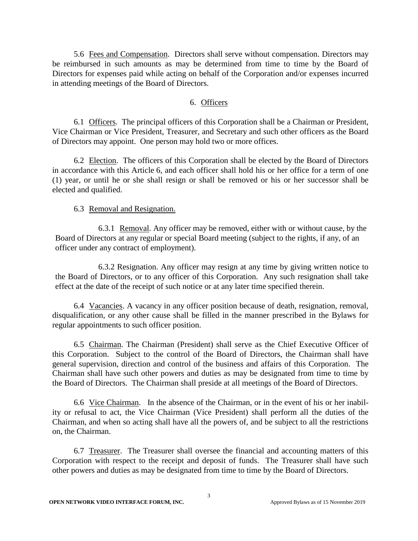5.6 Fees and Compensation. Directors shall serve without compensation. Directors may be reimbursed in such amounts as may be determined from time to time by the Board of Directors for expenses paid while acting on behalf of the Corporation and/or expenses incurred in attending meetings of the Board of Directors.

### 6. Officers

6.1 Officers. The principal officers of this Corporation shall be a Chairman or President, Vice Chairman or Vice President, Treasurer, and Secretary and such other officers as the Board of Directors may appoint. One person may hold two or more offices.

6.2 Election. The officers of this Corporation shall be elected by the Board of Directors in accordance with this Article 6, and each officer shall hold his or her office for a term of one (1) year, or until he or she shall resign or shall be removed or his or her successor shall be elected and qualified.

### 6.3 Removal and Resignation.

6.3.1 Removal. Any officer may be removed, either with or without cause, by the Board of Directors at any regular or special Board meeting (subject to the rights, if any, of an officer under any contract of employment).

6.3.2 Resignation. Any officer may resign at any time by giving written notice to the Board of Directors, or to any officer of this Corporation. Any such resignation shall take effect at the date of the receipt of such notice or at any later time specified therein.

6.4 Vacancies. A vacancy in any officer position because of death, resignation, removal, disqualification, or any other cause shall be filled in the manner prescribed in the Bylaws for regular appointments to such officer position.

6.5 Chairman. The Chairman (President) shall serve as the Chief Executive Officer of this Corporation. Subject to the control of the Board of Directors, the Chairman shall have general supervision, direction and control of the business and affairs of this Corporation. The Chairman shall have such other powers and duties as may be designated from time to time by the Board of Directors. The Chairman shall preside at all meetings of the Board of Directors.

6.6 Vice Chairman. In the absence of the Chairman, or in the event of his or her inability or refusal to act, the Vice Chairman (Vice President) shall perform all the duties of the Chairman, and when so acting shall have all the powers of, and be subject to all the restrictions on, the Chairman.

6.7 Treasurer. The Treasurer shall oversee the financial and accounting matters of this Corporation with respect to the receipt and deposit of funds. The Treasurer shall have such other powers and duties as may be designated from time to time by the Board of Directors.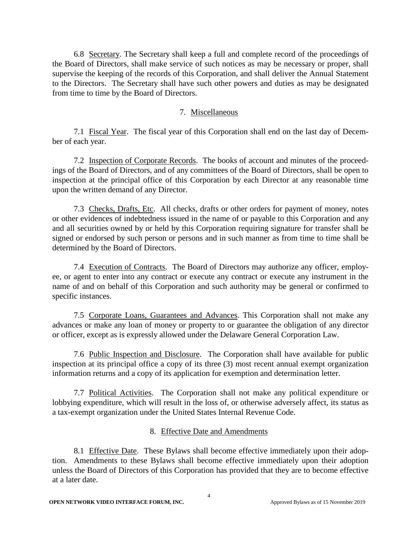6.8 Secretary. The Secretary shall keep a full and complete record of the proceedings of the Board of Directors, shall make service of such notices as may be necessary or proper, shall supervise the keeping of the records of this Corporation, and shall deliver the Annual Statement to the Directors. The Secretary shall have such other powers and duties as may be designated from time to time by the Board of Directors.

## 7. Miscellaneous

7.1 Fiscal Year. The fiscal year of this Corporation shall end on the last day of December of each year.

7.2 Inspection of Corporate Records. The books of account and minutes of the proceedings of the Board of Directors, and of any committees of the Board of Directors, shall be open to inspection at the principal office of this Corporation by each Director at any reasonable time upon the written demand of any Director.

7.3 Checks, Drafts, Etc. All checks, drafts or other orders for payment of money, notes or other evidences of indebtedness issued in the name of or payable to this Corporation and any and all securities owned by or held by this Corporation requiring signature for transfer shall be signed or endorsed by such person or persons and in such manner as from time to time shall be determined by the Board of Directors.

7.4 Execution of Contracts. The Board of Directors may authorize any officer, employee, or agent to enter into any contract or execute any contract or execute any instrument in the name of and on behalf of this Corporation and such authority may be general or confirmed to specific instances.

7.5 Corporate Loans, Guarantees and Advances. This Corporation shall not make any advances or make any loan of money or property to or guarantee the obligation of any director or officer, except as is expressly allowed under the Delaware General Corporation Law.

7.6 Public Inspection and Disclosure. The Corporation shall have available for public inspection at its principal office a copy of its three (3) most recent annual exempt organization information returns and a copy of its application for exemption and determination letter.

7.7 Political Activities. The Corporation shall not make any political expenditure or lobbying expenditure, which will result in the loss of, or otherwise adversely affect, its status as a tax-exempt organization under the United States Internal Revenue Code.

# 8. Effective Date and Amendments

8.1 Effective Date. These Bylaws shall become effective immediately upon their adoption. Amendments to these Bylaws shall become effective immediately upon their adoption unless the Board of Directors of this Corporation has provided that they are to become effective at a later date.